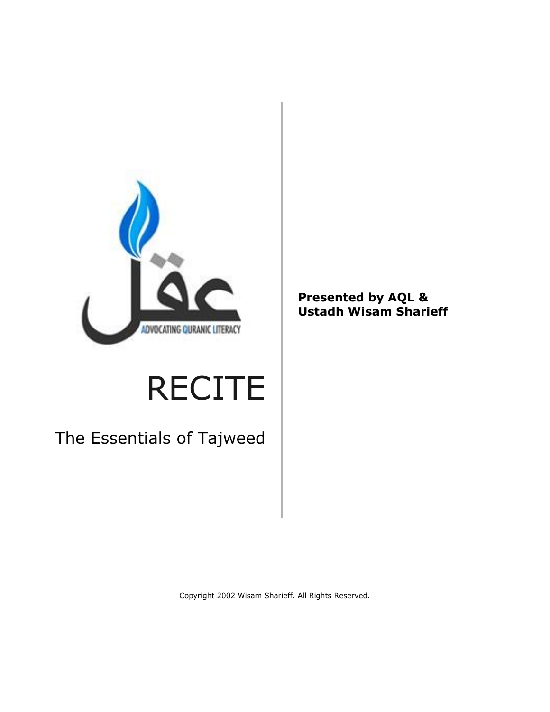

# RECITE

The Essentials of Tajweed

**Presented by AQL & Ustadh Wisam Sharieff**

Copyright 2002 Wisam Sharieff. All Rights Reserved.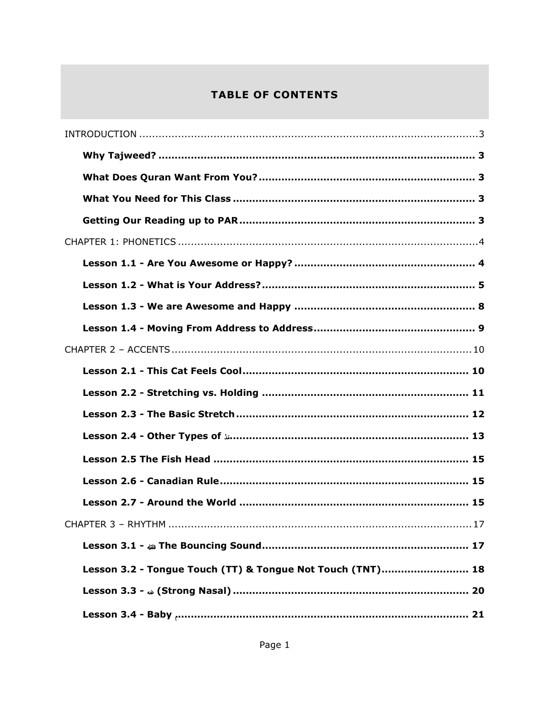# **TABLE OF CONTENTS**

| Lesson 3.2 - Tongue Touch (TT) & Tongue Not Touch (TNT) 18 |
|------------------------------------------------------------|
|                                                            |
|                                                            |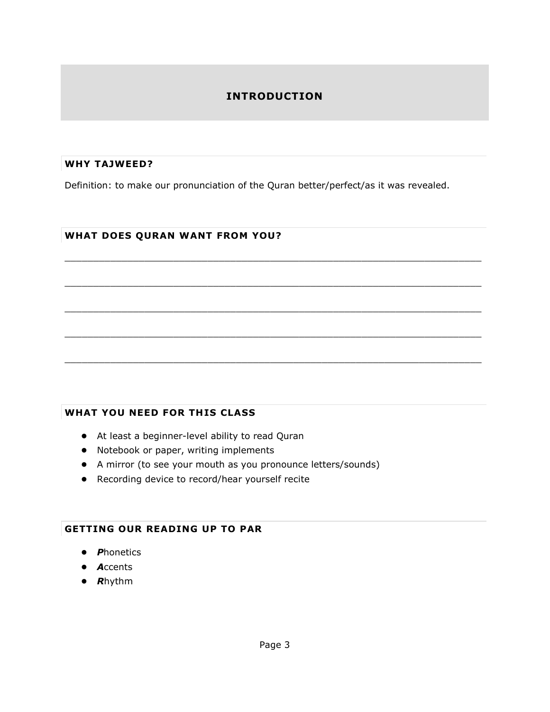# **INTRODUCTION**

#### **WHY TAJWEED?**

Definition: to make our pronunciation of the Quran better/perfect/as it was revealed.

 $\_$  ,  $\_$  ,  $\_$  ,  $\_$  ,  $\_$  ,  $\_$  ,  $\_$  ,  $\_$  ,  $\_$  ,  $\_$  ,  $\_$  ,  $\_$  ,  $\_$  ,  $\_$  ,  $\_$  ,  $\_$  ,  $\_$  ,  $\_$  ,  $\_$  ,  $\_$ 

 $\Box$ 

 $\_$  ,  $\_$  ,  $\_$  ,  $\_$  ,  $\_$  ,  $\_$  ,  $\_$  ,  $\_$  ,  $\_$  ,  $\_$  ,  $\_$  ,  $\_$  ,  $\_$  ,  $\_$  ,  $\_$  ,  $\_$  ,  $\_$  ,  $\_$  ,  $\_$  ,  $\_$  ,  $\_$  ,  $\_$  ,  $\_$  ,  $\_$  ,  $\_$  ,  $\_$  ,  $\_$  ,  $\_$  ,  $\_$  ,  $\_$  ,  $\_$  ,  $\_$  ,  $\_$  ,  $\_$  ,  $\_$  ,  $\_$  ,  $\_$  ,

 $\_$  ,  $\_$  ,  $\_$  ,  $\_$  ,  $\_$  ,  $\_$  ,  $\_$  ,  $\_$  ,  $\_$  ,  $\_$  ,  $\_$  ,  $\_$  ,  $\_$  ,  $\_$  ,  $\_$  ,  $\_$  ,  $\_$  ,  $\_$  ,  $\_$  ,  $\_$ 

 $\Box$ 

#### **WHAT DOES QURAN WANT FROM YOU?**

#### **WHAT YOU NEED FOR THIS CLASS**

- At least a beginner-level ability to read Quran
- Notebook or paper, writing implements
- A mirror (to see your mouth as you pronounce letters/sounds)
- Recording device to record/hear yourself recite

#### **GETTING OUR READING UP TO PAR**

- *P*honetics
- *A*ccents
- *R*hythm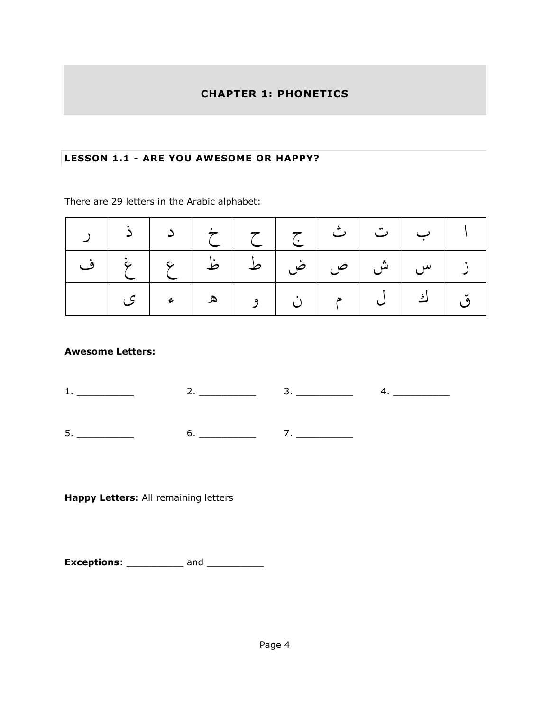#### **CHAPTER 1: PHONETICS**

#### **LESSON 1.1 - ARE YOU AWESOME OR HAPPY?**

There are 29 letters in the Arabic alphabet:

| ب   ت   ث   ج   ح   خ   د   ذ   ر |  |                                   |  |  |
|-----------------------------------|--|-----------------------------------|--|--|
|                                   |  |                                   |  |  |
|                                   |  | ق   ك   ل   م   ن   و   ه   ء   ى |  |  |

#### **Awesome Letters:**

**Happy Letters:** All remaining letters

**Exceptions**: \_\_\_\_\_\_\_\_\_\_\_ and \_\_\_\_\_\_\_\_\_\_\_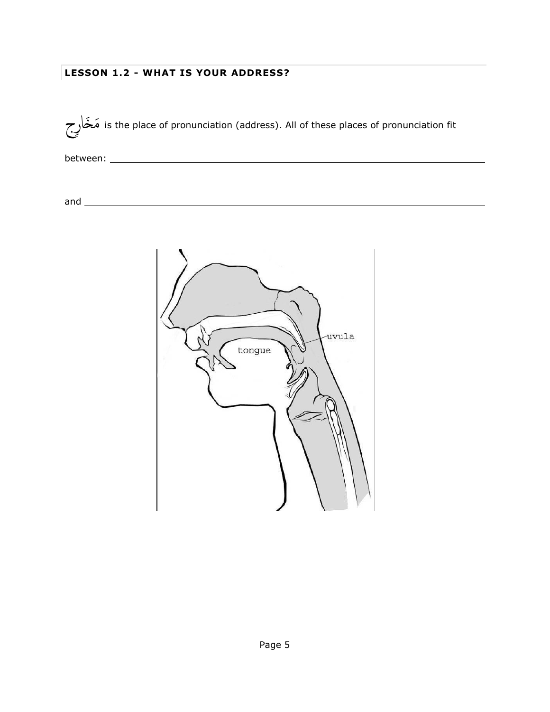### **LESSON 1.2 - WHAT IS YOUR ADDRESS?**

رج خاَ مَ is the place of pronunciation (address). All of these places of pronunciation fit

between:

and

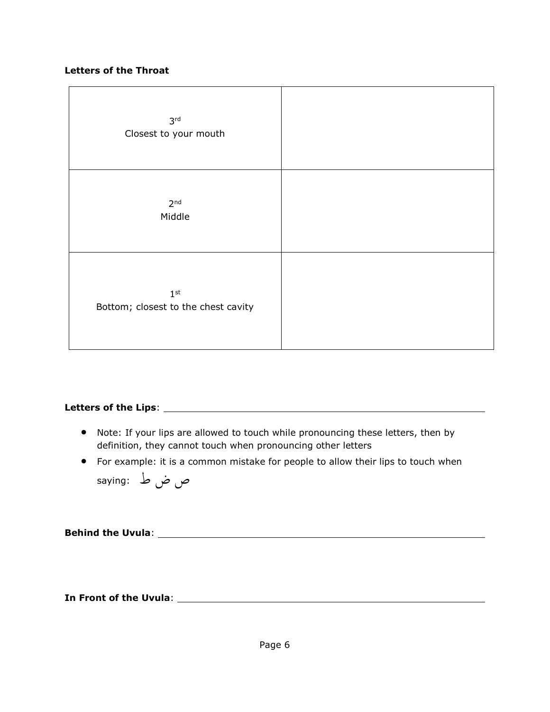#### **Letters of the Throat**

| 3 <sup>rd</sup><br>Closest to your mouth               |  |
|--------------------------------------------------------|--|
| 2 <sup>nd</sup><br>Middle                              |  |
| 1 <sup>st</sup><br>Bottom; closest to the chest cavity |  |

# **Letters of the Lips**:

- Note: If your lips are allowed to touch while pronouncing these letters, then by definition, they cannot touch when pronouncing other letters
- For example: it is a common mistake for people to allow their lips to touch when

ص ضْط :saying

**Behind the Uvula**:

**In Front of the Uvula**: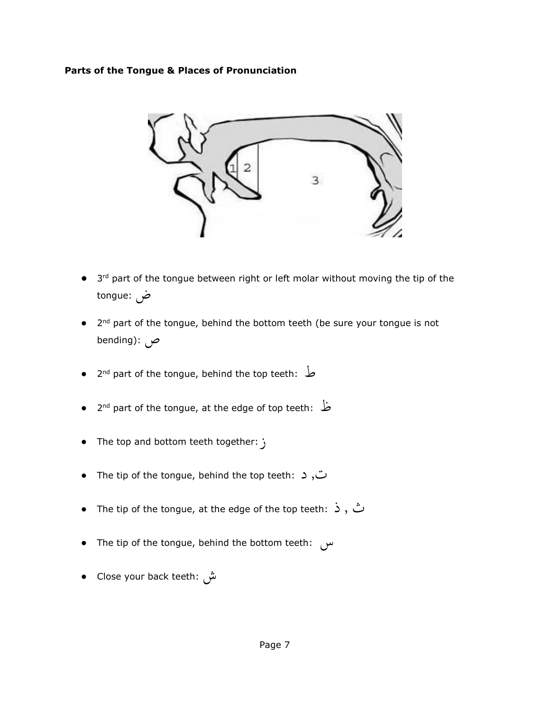#### **Parts of the Tongue & Places of Pronunciation**



- 3<sup>rd</sup> part of the tongue between right or left molar without moving the tip of the ض :tongue
- 2<sup>nd</sup> part of the tongue, behind the bottom teeth (be sure your tongue is not ص :(bending
- 2 nd part of the tongue, behind the top teeth: ط
- 2 nd part of the tongue, at the edge of top teeth: ظ
- The top and bottom teeth together:  $\mathfrak{z}$
- The tip of the tongue, behind the top teeth: د ,ت
- The tip of the tongue, at the edge of the top teeth: ذ , ث
- The tip of the tongue, behind the bottom teeth: س
- Close your back teeth: ش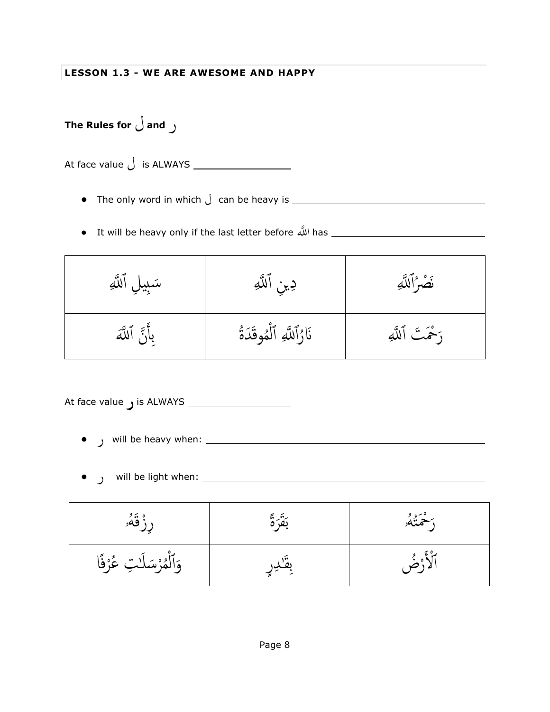**LESSON 1.3 - WE ARE AWESOME AND HAPPY**

**The Rules for** ل **and** ر

At face value ل is ALWAYS

- The only word in which ل can be heavy is
- It will be heavy only if the last letter before للَّ ا has

| سَبِيلِ ٱللَّهِ | دِينِ ٱللَّٰهِ            | نَصْرُاللَّهِ    |
|-----------------|---------------------------|------------------|
| بِأَنَّ ٱللَّهَ | نَارُاللَّهِ ٱلْمُوقَدَةُ | رَحْمَتَ ٱللَّهِ |

At face value ر is ALWAYS

- ر will be heavy when:
- ر will be light when:

| ، قَهُو                  |       | د څخمنگو |
|--------------------------|-------|----------|
| وَٱلْمُرْسَلَٰتِ عُرْفًا | بصدِر |          |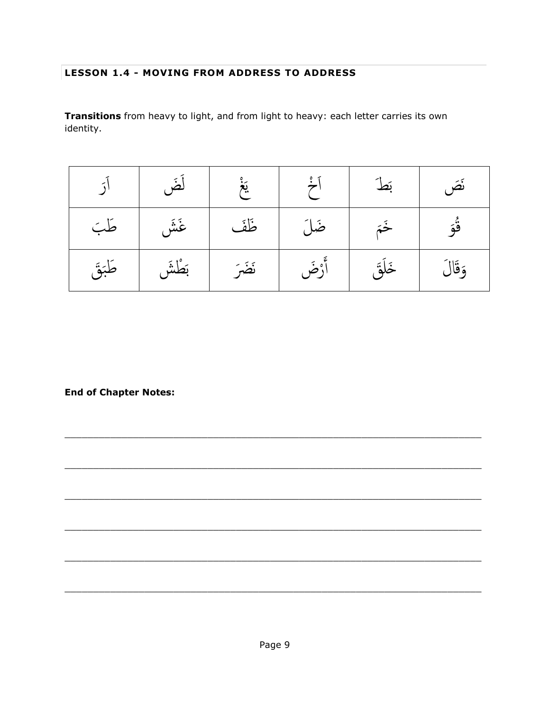#### **LESSON 1.4 - MOVING FROM ADDRESS TO ADDRESS**

Transitions from heavy to light, and from light to heavy: each letter carries its own identity.

|        | لَضَ      | $\begin{bmatrix} 2\ddot{\theta} & 2\ddot{\theta} & 2\ddot{\theta} & 2\ddot{\theta} & 2\ddot{\theta} & 2\ddot{\theta} & 2\ddot{\theta} & 2\ddot{\theta} & 2\ddot{\theta} & 2\ddot{\theta} & 2\ddot{\theta} & 2\ddot{\theta} & 2\ddot{\theta} & 2\ddot{\theta} & 2\ddot{\theta} & 2\ddot{\theta} & 2\ddot{\theta} & 2\ddot{\theta} & 2\ddot{\theta} & 2\ddot{\theta} & 2\ddot{\theta} & 2\ddot{\theta} & 2\ddot{\theta} & 2\ddot{\theta$ | $\left[\begin{array}{c} \circ \\ \circ \end{array}\right]$ | بَط    | نَصَ    |
|--------|-----------|----------------------------------------------------------------------------------------------------------------------------------------------------------------------------------------------------------------------------------------------------------------------------------------------------------------------------------------------------------------------------------------------------------------------------------------|------------------------------------------------------------|--------|---------|
| طَبَ   | غَشَ      | ظَفَ                                                                                                                                                                                                                                                                                                                                                                                                                                   | ضَلَ                                                       | خَمَ   | ڨۘؗۅؘ   |
| طَبَقَ | أَ بَطْشَ |                                                                                                                                                                                                                                                                                                                                                                                                                                        | أَرْضَ   نَضَرَ                                            | خَلَقَ | وَقَالَ |

**End of Chapter Notes:**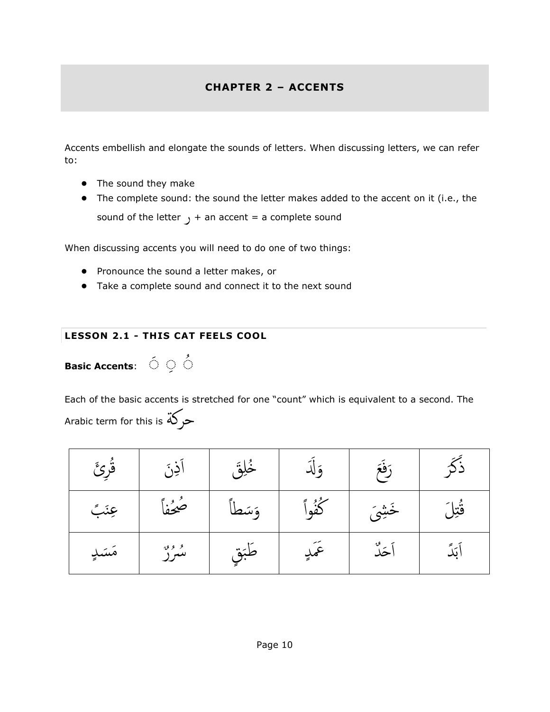# **CHAPTER 2 – ACCENTS**

Accents embellish and elongate the sounds of letters. When discussing letters, we can refer to:

- The sound they make
- The complete sound: the sound the letter makes added to the accent on it (i.e., the sound of the letter  $y + an accent = a$  complete sound

When discussing accents you will need to do one of two things:

● Pronounce the sound a letter makes, or

2.<br>..

● Take a complete sound and connect it to the next sound

#### **LESSON 2.1 - THIS CAT FEELS COOL**

**Basic Accents**:  $\circ$   $\circ$   $\circ$ 

Each of the basic accents is stretched for one "count" which is equivalent to a second. The Arabic term for this is حركة

| قُرِئَ | ٚۮؚڹ         | ځلق    | ۇ لد   | رَفَعَ |        |
|--------|--------------|--------|--------|--------|--------|
| عِنَبَ | ضُخُفاً      | وَسَطا | ݣُوْلَ | خَشِيَ | قُتِلَ |
| مَسَدٍ | و وه.<br>سور | طَبَقٍ | عَمَدٍ | أحَدٌ  | ابَدَ  |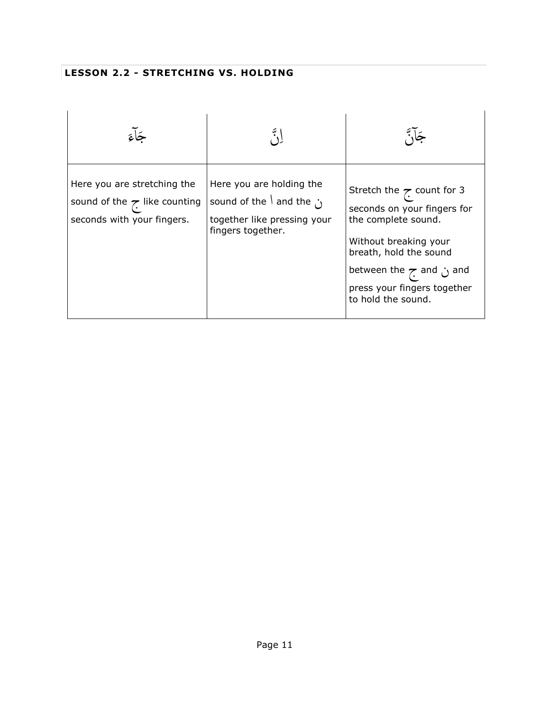# **LESSON 2.2 - STRETCHING VS. HOLDING**

| Here you are stretching the<br>sound of the $\tau$ like counting<br>seconds with your fingers. | Here you are holding the<br>sound of the $\vert$ and the $\cdot$<br>together like pressing your<br>fingers together. | Stretch the $\sim$ count for 3<br>seconds on your fingers for<br>the complete sound.<br>Without breaking your<br>breath, hold the sound<br>between the $\tau$ and $\omega$ and<br>press your fingers together<br>to hold the sound. |
|------------------------------------------------------------------------------------------------|----------------------------------------------------------------------------------------------------------------------|-------------------------------------------------------------------------------------------------------------------------------------------------------------------------------------------------------------------------------------|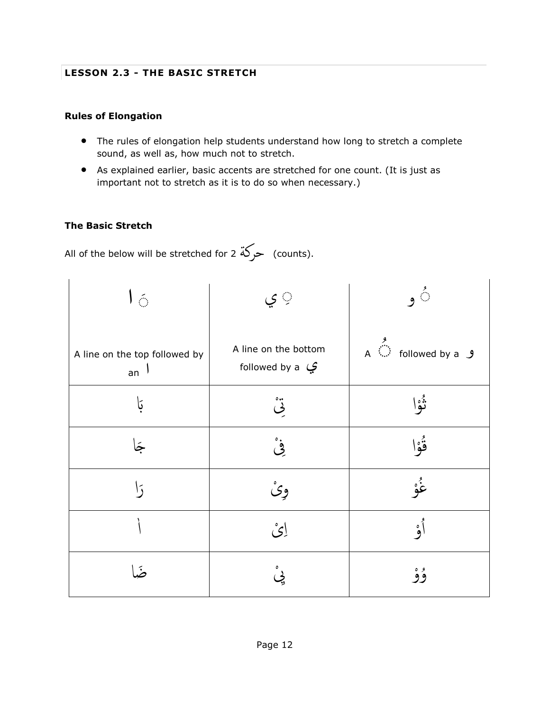#### **LESSON 2.3 - THE BASIC STRETCH**

#### **Rules of Elongation**

- The rules of elongation help students understand how long to stretch a complete sound, as well as, how much not to stretch.
- As explained earlier, basic accents are stretched for one count. (It is just as important not to stretch as it is to do so when necessary.)

#### **The Basic Stretch**

All of the below will be stretched for 2 حركة (counts).

| $\mathsf{L} \in$                    | ٍ ي                                                 | $\mathfrak{s}^{\Diamond}$                                                                                             |
|-------------------------------------|-----------------------------------------------------|-----------------------------------------------------------------------------------------------------------------------|
| A line on the top followed by<br>an | A line on the bottom<br>followed by a $\mathcal{G}$ | $A \overset{\overset{\mathcal{G}}{\longleftarrow}}{\longrightarrow}$ followed by a $\overset{\circ}{\longrightarrow}$ |
| بَا                                 | ە ە                                                 | ڈہ)                                                                                                                   |
|                                     | غ<br>في                                             | ۊؙ۫ۄٳ                                                                                                                 |
|                                     | وِیْ                                                | غْوْ                                                                                                                  |
|                                     | ائ                                                  | أه                                                                                                                    |
| $\tilde{\bullet}$                   |                                                     | وه<br>وو                                                                                                              |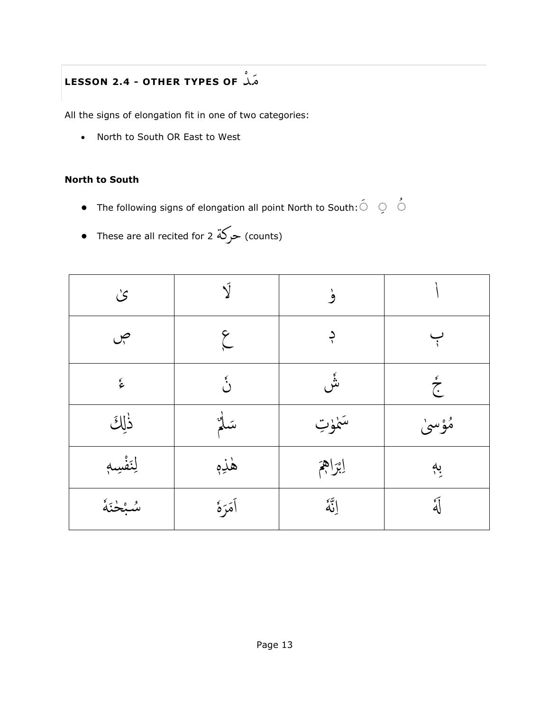# **LESSON 2.4 - OTHER TYPES OF** د مَ

All the signs of elongation fit in one of two categories:

• North to South OR East to West

#### **North to South**

- **•** The following signs of elongation all point North to South: $\circ$   $\circ$   $\circ$
- These are all recited for 2 ⊃ركة (counts)

| $\mathcal{S}$        |                     | ۈ         |                  |
|----------------------|---------------------|-----------|------------------|
| ص                    | $\widetilde{\zeta}$ |           | $\div$           |
| $\boldsymbol{\zeta}$ | د<br>د              | ۺؙ        | $\sum_{k=1}^{k}$ |
| ذٰلِكَ               | سَلْمٌ              | سَمْوْتِ  | مُؤْسَىٰ         |
| لِنَفْسِهِ           | هٰذِهٖ              | إبراهج    | بە               |
| سُبْحْنَهُ           | أمَرَهٔ             | إِنَّهُمْ | أكه<br>كما       |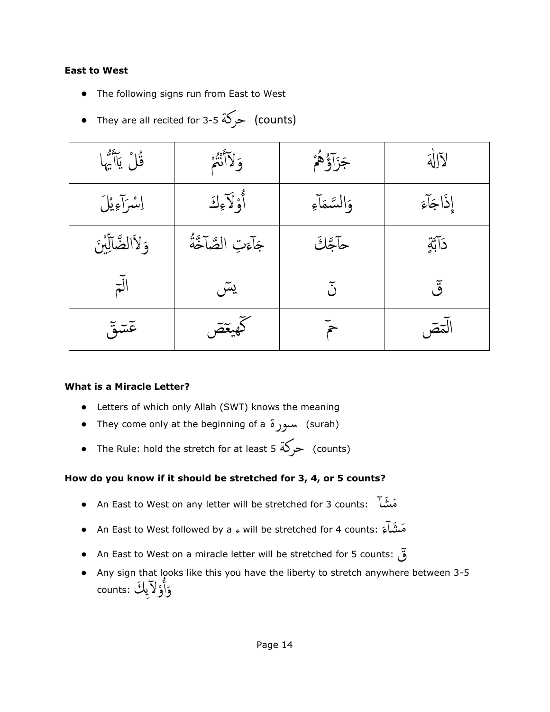#### **East to West**

- The following signs run from East to West
- They are all recited for 3-5 < (counts)

| قُلْ يَاأَيُّهَا  | وَلاَأَنْثُمْ       | جَزَآؤُهُمْ        | لآلأه     |
|-------------------|---------------------|--------------------|-----------|
| إِسْرَآءِيْلَ     | أَوْلَاءِكَ         | وَالسَّمَاءِ       | إذَاجَآءَ |
| وَلاَالضَّآلِّينَ | جَآءَتِ الصَّآخَّةُ | حآجَكَ             | دَآبَّةٍ  |
| $\overline{t}$    | يسٓ                 | $\tilde{\circ}$    | ق         |
| عٓسٓق             | كهيقص               | $\tilde{\epsilon}$ | الٓمصٓ    |

#### **What is a Miracle Letter?**

- Letters of which only Allah (SWT) knows the meaning
- They come only at the beginning of a سورة) surah)
- The Rule: hold the stretch for at least 5 < حركة) counts)

#### **How do you know if it should be stretched for 3, 4, or 5 counts?**

- An East to West on any letter will be stretched for 3 counts: شأَ مَ
- An East to West followed by a ء will be stretched for 4 counts: َم َشأ ء ة<br>م
- An East to West on a miracle letter will be stretched for 5 counts: ق
- Any sign that looks like this you have the liberty to stretch anywhere between 3-5 وَأُوْلَآيِكَ :counts اُ م<br>أ َ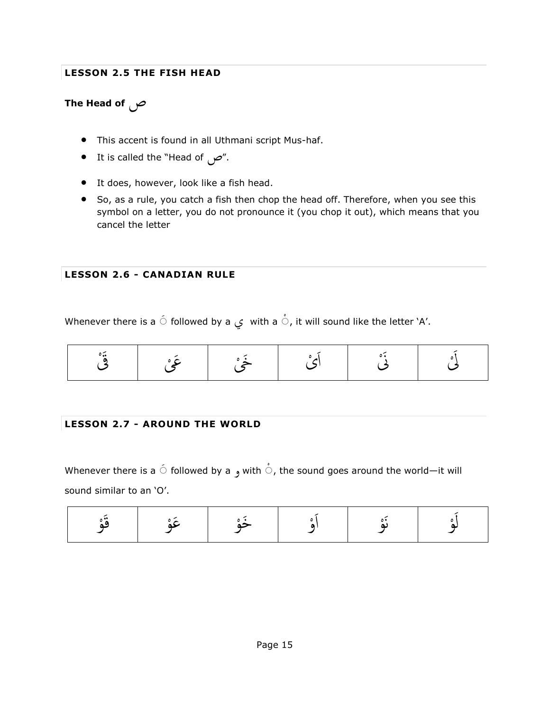#### **LESSON 2.5 THE FISH HEAD**

# **The Head of** ص

- This accent is found in all Uthmani script Mus-haf.
- It is called the "Head of  $\sim$ ".
- It does, however, look like a fish head.
- So, as a rule, you catch a fish then chop the head off. Therefore, when you see this symbol on a letter, you do not pronounce it (you chop it out), which means that you cancel the letter

#### **LESSON 2.6 - CANADIAN RULE**

Whenever there is a  $\stackrel{\frown}{\circ}$  followed by a  $\stackrel{\rrown}{\downarrow}$  with a  $\stackrel{\rrown}{\circ}$ , it will sound like the letter `A'.

#### **LESSON 2.7 - AROUND THE WORLD**

Whenever there is a  $\acute{\circ}$  followed by a  $_{g}$  with  $\mathring{\circ}$ , the sound goes around the world—it will sound similar to an 'O'.

|--|--|--|--|--|--|--|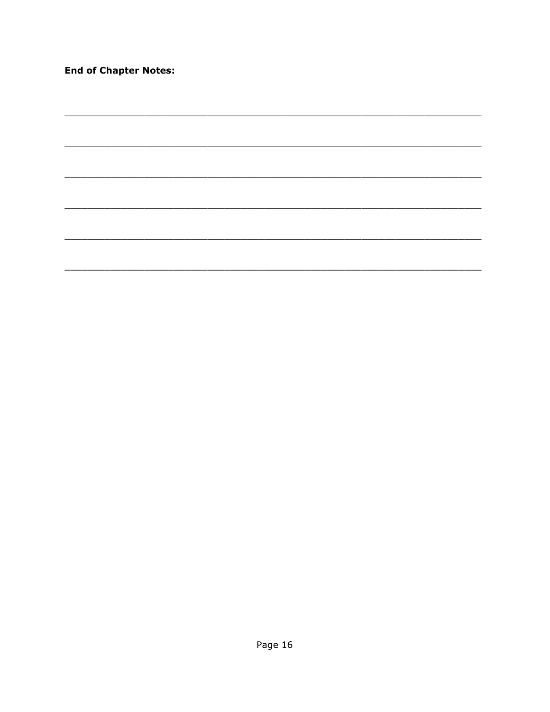**End of Chapter Notes:** 

 $\overline{\phantom{a}}$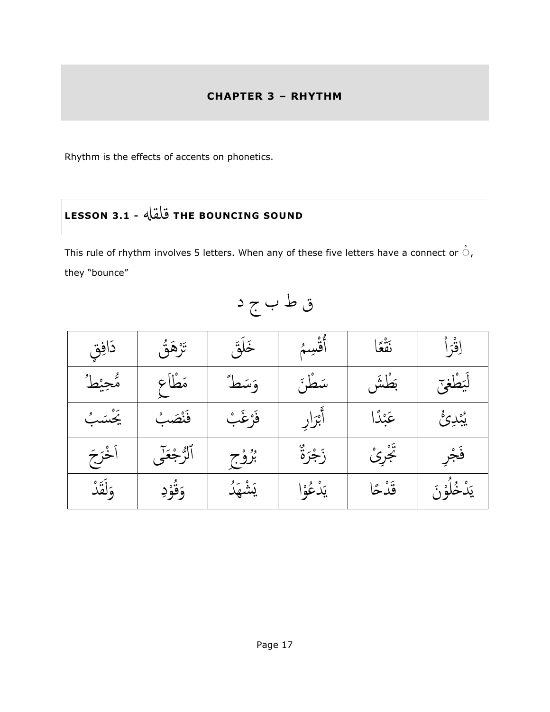### **CHAPTER 3 – RHYTHM**

Rhythm is the effects of accents on phonetics.

# **LESSON 3.1 -** قلقهل **THE BOUNCING SOUND**

This rule of rhythm involves 5 letters. When any of these five letters have a connect or  $\stackrel{\circ}{\circ}$ , they "bounce"

 ق ق َداف َ رَه َق ت َ َخل ٱ ق سم عا ُ نَ ق ا َ قر ا ط م حي ه َع َ َسط َم طا طَش َس طَن و َ ب طغى َ ي َ ل ب ب فَن َص ب َ َيَس رغَ ا ر فَ َ ر ٱب دا َ ئ َعب د ب ي َ َج خر اَ ٱ ه جَع لر ى وج ر ة ب َ ر ى َز جر ج ر ََت فَ َق د َ ل َ ود و ق َ د و وا يَ شهَ ع د َ وَن قَ د حا ي خل د َ ي

قْطْبْجْد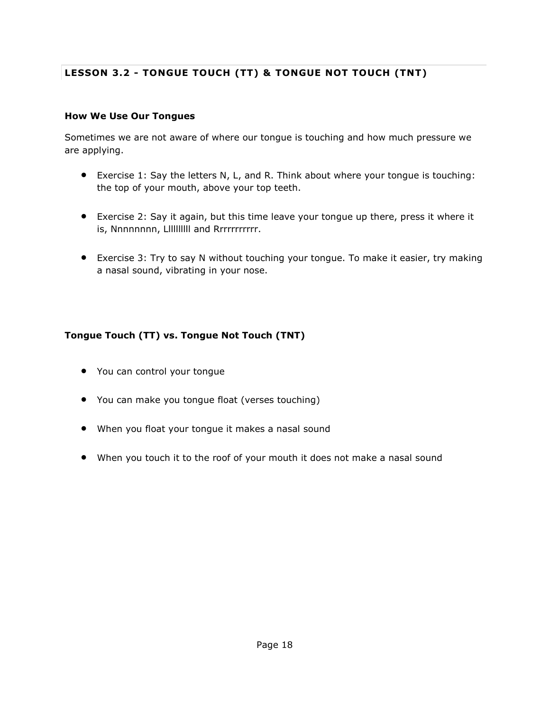# **LESSON 3.2 - TONGUE TOUCH (TT) & TONGUE NOT TOUCH (TNT)**

#### **How We Use Our Tongues**

Sometimes we are not aware of where our tongue is touching and how much pressure we are applying.

- Exercise 1: Say the letters N, L, and R. Think about where your tongue is touching: the top of your mouth, above your top teeth.
- Exercise 2: Say it again, but this time leave your tongue up there, press it where it is, Nnnnnnnn, Llllllllll and Rrrrrrrrrrr.
- Exercise 3: Try to say N without touching your tongue. To make it easier, try making a nasal sound, vibrating in your nose.

#### **Tongue Touch (TT) vs. Tongue Not Touch (TNT)**

- You can control your tongue
- You can make you tongue float (verses touching)
- When you float your tongue it makes a nasal sound
- When you touch it to the roof of your mouth it does not make a nasal sound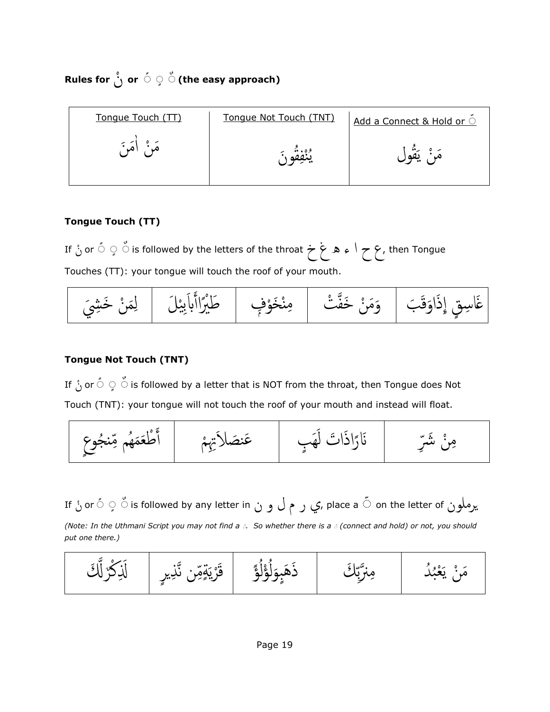**Rules for** ن **or** َ َ َ **(the easy approach)**

| Tongue Touch (TT) | Tonque Not Touch (TNT) | Add a Connect & Hold or O |
|-------------------|------------------------|---------------------------|
| (هَيْ آ           | ره                     | بر ہے ۔ یعنی              |

#### **Tongue Touch (TT)**

If ن or َ َ َ is followed by the letters of the throat خْغْهْءْاْحْع, then Tongue Touches (TT): your tongue will touch the roof of your mouth.



#### **Tongue Not Touch (TNT)**

If ن orَ َ َ is followed by a letter that is NOT from the throat, then Tongue does Not Touch (TNT): your tongue will not touch the roof of your mouth and instead will float.



If ن orَ َ َ is followed by any letter in نْوْلْمْرْي, place a َ on the letter of يرملون *(Note: In the Uthmani Script you may not find a*  $\delta$ *. So whether there is a*  $\delta$  *(connect and hold) or not, you should put one there.)*

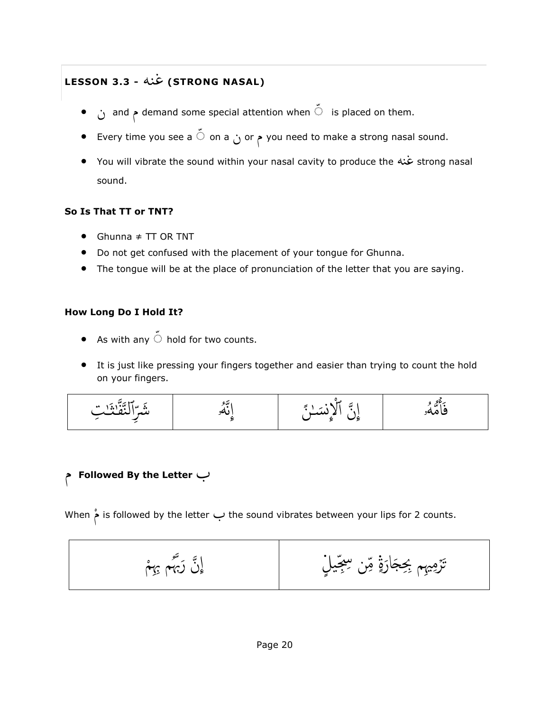# **LESSON 3.3 -** غنه**) STRONG NASAL)**

- ن and م demand some special attention when َ is placed on them.
- Every time you see a َ on a ن or م you need to make a strong nasal sound.
- You will vibrate the sound within your nasal cavity to produce the غنه strong nasal sound.

#### **So Is That TT or TNT?**

- Ghunna ≠ TT OR TNT
- Do not get confused with the placement of your tongue for Ghunna.
- The tongue will be at the place of pronunciation of the letter that you are saying.

#### **How Long Do I Hold It?**

- As with any  $\stackrel{<}{\circ}$  hold for two counts.
- It is just like pressing your fingers together and easier than trying to count the hold on your fingers.

$$
\frac{1}{2} \frac{1}{2} \frac{1}{2} \frac{1}{2} \frac{1}{2} \frac{1}{2} \frac{1}{2} \frac{1}{2} \frac{1}{2} \frac{1}{2} \frac{1}{2} \frac{1}{2} \frac{1}{2} \frac{1}{2} \frac{1}{2} \frac{1}{2} \frac{1}{2} \frac{1}{2} \frac{1}{2} \frac{1}{2} \frac{1}{2} \frac{1}{2} \frac{1}{2} \frac{1}{2} \frac{1}{2} \frac{1}{2} \frac{1}{2} \frac{1}{2} \frac{1}{2} \frac{1}{2} \frac{1}{2} \frac{1}{2} \frac{1}{2} \frac{1}{2} \frac{1}{2} \frac{1}{2} \frac{1}{2} \frac{1}{2} \frac{1}{2} \frac{1}{2} \frac{1}{2} \frac{1}{2} \frac{1}{2} \frac{1}{2} \frac{1}{2} \frac{1}{2} \frac{1}{2} \frac{1}{2} \frac{1}{2} \frac{1}{2} \frac{1}{2} \frac{1}{2} \frac{1}{2} \frac{1}{2} \frac{1}{2} \frac{1}{2} \frac{1}{2} \frac{1}{2} \frac{1}{2} \frac{1}{2} \frac{1}{2} \frac{1}{2} \frac{1}{2} \frac{1}{2} \frac{1}{2} \frac{1}{2} \frac{1}{2} \frac{1}{2} \frac{1}{2} \frac{1}{2} \frac{1}{2} \frac{1}{2} \frac{1}{2} \frac{1}{2} \frac{1}{2} \frac{1}{2} \frac{1}{2} \frac{1}{2} \frac{1}{2} \frac{1}{2} \frac{1}{2} \frac{1}{2} \frac{1}{2} \frac{1}{2} \frac{1}{2} \frac{1}{2} \frac{1}{2} \frac{1}{2} \frac{1}{2} \frac{1}{2} \frac{1}{2} \frac{1}{2} \frac{1}{2} \frac{1}{2} \frac{1}{2} \frac{1}{2} \frac{1}{2} \frac{1}{2} \frac{1}{2} \frac{1}{2} \frac{1}{2} \frac{1}{2} \frac{1}{2} \frac{1}{2} \frac{1}{2} \frac{1}{2} \frac{1}{2} \frac{1}{2} \frac{1
$$

# م **Followed By the Letter** ب

م When is followed by the letter ب the sound vibrates between your lips for 2 counts.

$$
\frac{1}{\sqrt{1-\frac{1}{2}}\left(\frac{1}{2}-\frac{1}{2}\right)}
$$
تَرِمِيمِ جَجَارَةٍ مِّن سِعِجَیلِ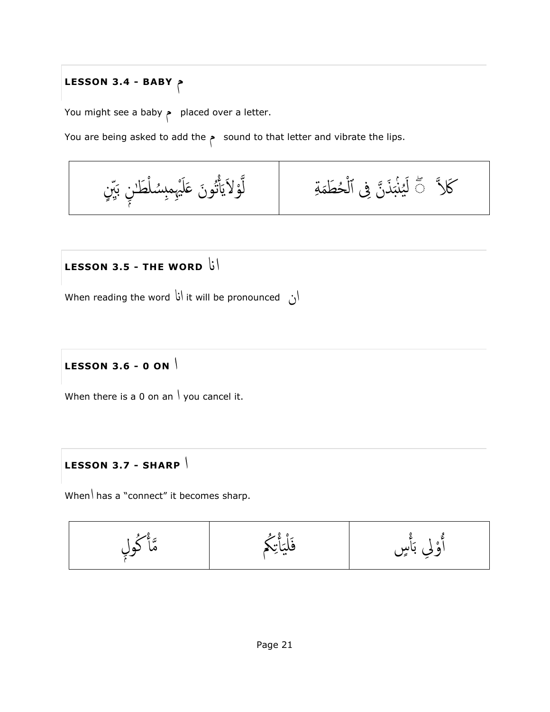# **LESSON 3.4 - BABY** م

You might see a baby م placed over a letter.

You are being asked to add the  $\sim$  sound to that letter and vibrate the lips.



# **LESSON 3.5 - THE WORD** اان

When reading the word اان it will be pronounced ان

# **LESSON 3.6 - 0 ON** ا

When there is a 0 on an  $\vert$  you cancel it.

# **LESSON 3.7 - SHARP** ا

When \ has a "connect" it becomes sharp.

$$
\frac{1}{2} \int_{\frac{1}{2}}^{\frac{3}{2}} \frac{1}{\sqrt{2}} \frac{1}{\sqrt{2}} \frac{1}{\sqrt{2}} \frac{1}{\sqrt{2}} \frac{1}{\sqrt{2}} \frac{1}{\sqrt{2}} \frac{1}{\sqrt{2}} \frac{1}{\sqrt{2}} \frac{1}{\sqrt{2}} \frac{1}{\sqrt{2}} \frac{1}{\sqrt{2}} \frac{1}{\sqrt{2}} \frac{1}{\sqrt{2}} \frac{1}{\sqrt{2}} \frac{1}{\sqrt{2}} \frac{1}{\sqrt{2}} \frac{1}{\sqrt{2}} \frac{1}{\sqrt{2}} \frac{1}{\sqrt{2}} \frac{1}{\sqrt{2}} \frac{1}{\sqrt{2}} \frac{1}{\sqrt{2}} \frac{1}{\sqrt{2}} \frac{1}{\sqrt{2}} \frac{1}{\sqrt{2}} \frac{1}{\sqrt{2}} \frac{1}{\sqrt{2}} \frac{1}{\sqrt{2}} \frac{1}{\sqrt{2}} \frac{1}{\sqrt{2}} \frac{1}{\sqrt{2}} \frac{1}{\sqrt{2}} \frac{1}{\sqrt{2}} \frac{1}{\sqrt{2}} \frac{1}{\sqrt{2}} \frac{1}{\sqrt{2}} \frac{1}{\sqrt{2}} \frac{1}{\sqrt{2}} \frac{1}{\sqrt{2}} \frac{1}{\sqrt{2}} \frac{1}{\sqrt{2}} \frac{1}{\sqrt{2}} \frac{1}{\sqrt{2}} \frac{1}{\sqrt{2}} \frac{1}{\sqrt{2}} \frac{1}{\sqrt{2}} \frac{1}{\sqrt{2}} \frac{1}{\sqrt{2}} \frac{1}{\sqrt{2}} \frac{1}{\sqrt{2}} \frac{1}{\sqrt{2}} \frac{1}{\sqrt{2}} \frac{1}{\sqrt{2}} \frac{1}{\sqrt{2}} \frac{1}{\sqrt{2}} \frac{1}{\sqrt{2}} \frac{1}{\sqrt{2}} \frac{1}{\sqrt{2}} \frac{1}{\sqrt{2}} \frac{1}{\sqrt{2}} \frac{1}{\sqrt{2}} \frac{1}{\sqrt{2}} \frac{1}{\sqrt{2}} \frac{1}{\sqrt{2}} \frac{1}{\sqrt{2}} \frac{1}{\sqrt{2}} \frac{1}{\sqrt{2}} \frac{1}{\sqrt{2}} \frac{1}{\sqrt{2}} \frac{1}{\sqrt{2}} \frac{1}{\sqrt{2}} \frac{1}{\sqrt{2}} \frac{1}{\sqrt{2}} \frac{1
$$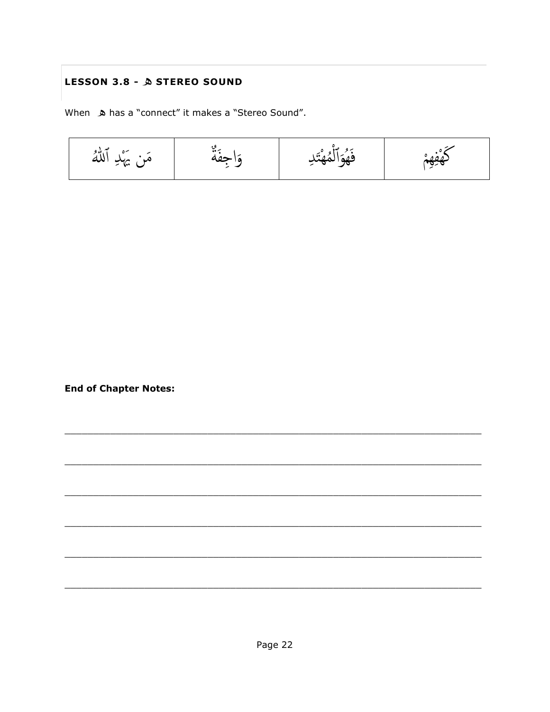# LESSON 3.8 - A STEREO SOUND

When  $\triangle$  has a "connect" it makes a "Stereo Sound".



**End of Chapter Notes:**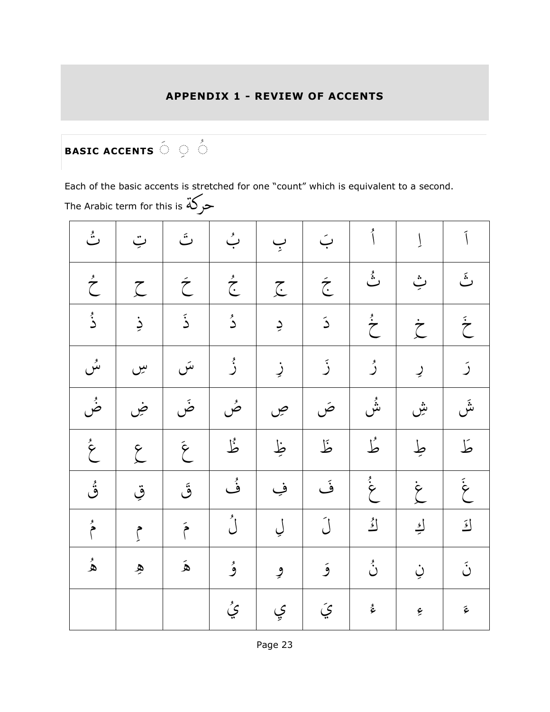# **APPENDIX 1 - REVIEW OF ACCENTS**

#### **BASIC ACCENTS**  $\stackrel{\circ}{\circ}$   $\stackrel{\circ}{\circ}$ 9...

Each of the basic accents is stretched for one "count" which is equivalent to a second. The Arabic term for this is حركة

| ٽُ               | ټ                    | تَ                    | بُ               | ب       | بَ                    | أ                | Į                | $\tilde{1}$           |
|------------------|----------------------|-----------------------|------------------|---------|-----------------------|------------------|------------------|-----------------------|
| $\sum^{\prime}$  | $\zeta$              | $\tilde{\mathcal{C}}$ | $\sum_{i=1}^{k}$ | $\zeta$ | $\tilde{\mathcal{L}}$ | ثُ               | ݒ                | ثَ                    |
| ڎ۬               | ذِ                   | ۮؘ                    | دُ               | ڔ       | $\tilde{\mathcal{L}}$ | $\sum_{i=1}^{N}$ | $\dot{\zeta}$    | $\sum_{i=1}^{n}$      |
| سُ               | سِ                   | سَ                    | ڒۢ               | زٍ      | ڒ                     | رُ               | $\overline{2}$   | $\mathfrak{I}$        |
| ڞؙ               | ض                    | ضَ                    | صُ               | ص       | صَ                    | ۺٞ               | ۺ                | ىنى<br>س              |
| $\sum_{i=1}^{k}$ | $\zeta$              | $\tilde{\mathcal{E}}$ | ڟؙ               | ظِ      | ظ                     | طُّ              | طِ               | كما                   |
| ۊؙ               | قِ                   | ڨُ                    | و<br>ف           | فِ      | فَ                    | $\sum_{i=1}^{k}$ | $\sum_{i=1}^{n}$ | $\sum_{i=1}^{n}$      |
| $\sum_{k=1}^{k}$ | $\int$               | $\tilde{P}$           | ڵۢ               | ڸ       | ڵ                     | ائی              | <u>اء</u>        | $\tilde{\mathbf{z}}$  |
| ۿ                | $\tilde{\mathbf{z}}$ | $\mathbf{\hat{A}}$    | ۇ                | و       | ۇ                     | ڹؙ               | ڹ                | $\tilde{\mathcal{C}}$ |
|                  |                      |                       | ۑُ               | ي       | $\tilde{\mathcal{L}}$ | ئىچ              | بح               | $\tilde{\varphi}$     |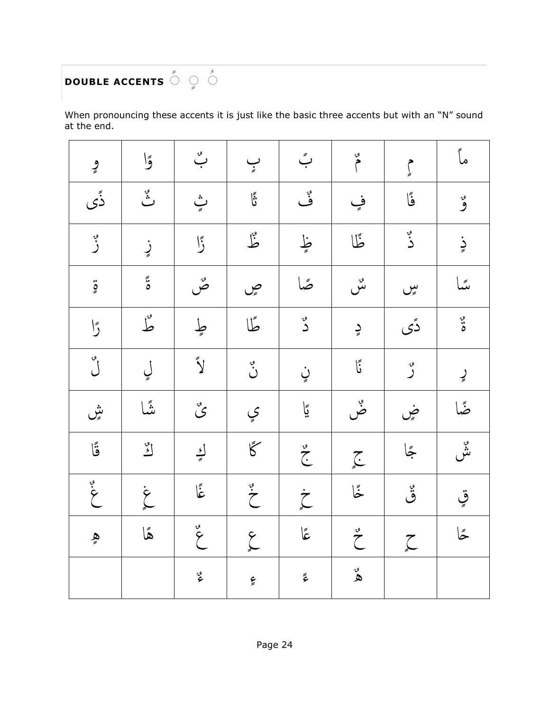### **DOUBLE ACCENTS** َ َ َ 9...

When pronouncing these accents it is just like the basic three accents but with an "N" sound at the end.

| ڡۣ                                          | وًا                                         | $\stackrel{\scriptscriptstyle\circ}{\smile}$     | $\sum_{i=1}^{n}$           | بً                      | $\sum_{i=1}^{n}$      | م<br>إ $\int$ | ماً                   |
|---------------------------------------------|---------------------------------------------|--------------------------------------------------|----------------------------|-------------------------|-----------------------|---------------|-----------------------|
| ۮؘۨؠ                                        | پہ<br>ٹ                                     | پُ                                               | $\vec{E}$                  | ہر<br>ف                 | فٍ                    | فَا           | و                     |
| په<br>ر                                     | زٍ                                          | $\sqrt{2}$                                       | شکل                        | ظٍ                      | ظًا                   | و.<br>د       | زٍ                    |
| $\ddot{\circ}$                              | $\tilde{\ddot{\cdot}}$                      | صح                                               | ڝ                          | صًا                     | سى<br>ىس              | سپ            | ىئىا                  |
| $\bigcup \limits_{}^{\text{I\hskip-1pt I}}$ | طُّ                                         | طٍ                                               | طًا                        | ى<br>د                  | دٍ                    | دًى           | $\ddot{\ddot{\circ}}$ |
| $\int \int \frac{1}{\sqrt{2}}$              | ڸ                                           | $\tilde{\mathbf{y}}$                             | $\ddot{\ddot{\bm{\zeta}}}$ | ڼٍ                      | أَ                    | ەر<br>ك       | ڕٟ                    |
| ىثى                                         | نثَّما                                      | $\mathcal{\overset{\tiny{\sigma}}{\mathcal{S}}}$ | ي                          | ڲٳ                      | پہ<br>ض               | ۻۣ            | ضًا                   |
| قَا                                         | $\mathop{\mathcal{L}}\limits^{\mathcal{O}}$ | اءِ<br>په                                        | $\overline{\xi}$           | $\sum_{i=1}^{n}$        | $\sum_{n=1}^{\infty}$ | حِمَّا        | و.<br>نش              |
| $\ddot{\cdot}$                              | $\sum_{i=1}^{n}$                            | جأ                                               | $\sum_{k=1}^{d}$           | $\sum_{n=1}^{n}$        | ځا                    | ۊۣ            | قٍ                    |
| هٍ                                          | هًا                                         | $\sum_{\alpha}$                                  | $\sum_{i=1}^{n}$           | $\tilde{\mathbf{5}}$    | $\int_{0}^{\infty}$   | $\sum$        | ځا                    |
|                                             |                                             | وړ<br>م                                          | ءِ                         | $\tilde{\tilde{\zeta}}$ | ه<br>ه                |               |                       |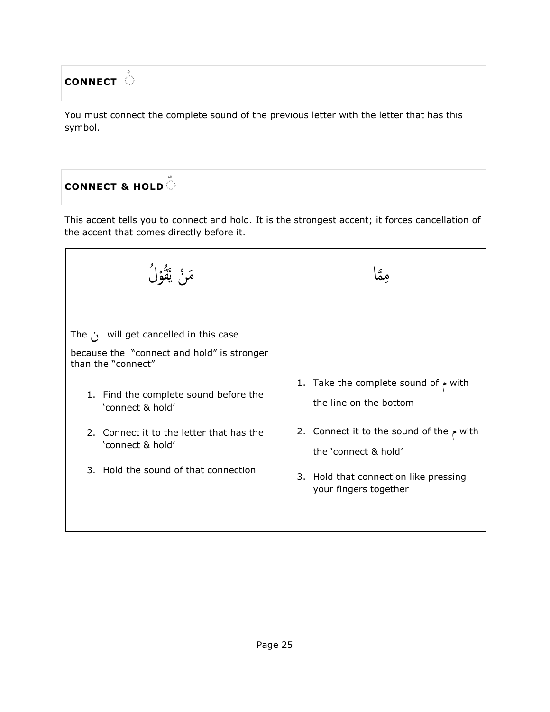# **CONNECT** َ

You must connect the complete sound of the previous letter with the letter that has this symbol.

# **CONNECT & HOLD** َ

This accent tells you to connect and hold. It is the strongest accent; it forces cancellation of the accent that comes directly before it.

| َمَنْ يَقْوْلُ                                                                                                                                                                                                                                                                       |                                                                                                                                                                                                                |
|--------------------------------------------------------------------------------------------------------------------------------------------------------------------------------------------------------------------------------------------------------------------------------------|----------------------------------------------------------------------------------------------------------------------------------------------------------------------------------------------------------------|
| The $\cdot$ will get cancelled in this case<br>because the "connect and hold" is stronger<br>than the "connect"<br>1. Find the complete sound before the<br>'connect & hold'<br>2. Connect it to the letter that has the<br>'connect & hold'<br>3. Hold the sound of that connection | 1. Take the complete sound of $\sim$ with<br>the line on the bottom<br>2. Connect it to the sound of the $\sim$ with<br>the 'connect & hold'<br>3. Hold that connection like pressing<br>your fingers together |